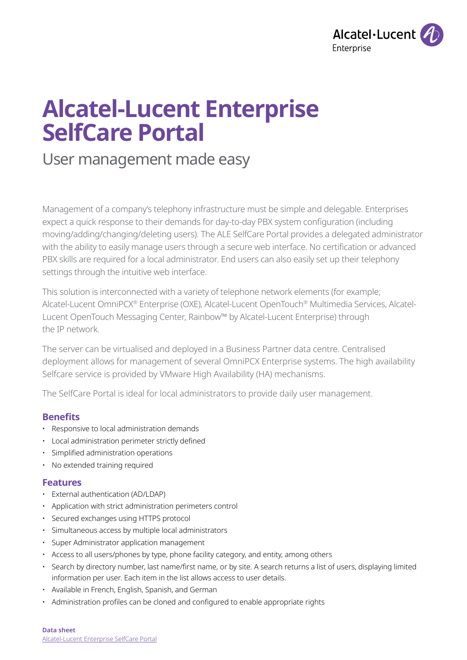

# **Alcatel-Lucent Enterprise SelfCare Portal**

User management made easy

Management of a company's telephony infrastructure must be simple and delegable. Enterprises expect a quick response to their demands for day-to-day PBX system configuration (including moving/adding/changing/deleting users). The ALE SelfCare Portal provides a delegated administrator with the ability to easily manage users through a secure web interface. No certification or advanced PBX skills are required for a local administrator. End users can also easily set up their telephony settings through the intuitive web interface.

This solution is interconnected with a variety of telephone network elements (for example; Alcatel-Lucent OmniPCX® Enterprise (OXE), Alcatel-Lucent OpenTouch® Multimedia Services, Alcatel-Lucent OpenTouch Messaging Center, Rainbow™ by Alcatel-Lucent Enterprise) through the IP network.

The server can be virtualised and deployed in a Business Partner data centre. Centralised deployment allows for management of several OmniPCX Enterprise systems. The high availability Selfcare service is provided by VMware High Availability (HA) mechanisms.

The SelfCare Portal is ideal for local administrators to provide daily user management.

# **Benefits**

- Responsive to local administration demands
- Local administration perimeter strictly defined
- Simplified administration operations
- No extended training required

# **Features**

- External authentication (AD/LDAP)
- Application with strict administration perimeters control
- Secured exchanges using HTTPS protocol
- Simultaneous access by multiple local administrators
- Super Administrator application management
- Access to all users/phones by type, phone facility category, and entity, among others
- Search by directory number, last name/first name, or by site. A search returns a list of users, displaying limited information per user. Each item in the list allows access to user details.
- Available in French, English, Spanish, and German
- Administration profiles can be cloned and configured to enable appropriate rights